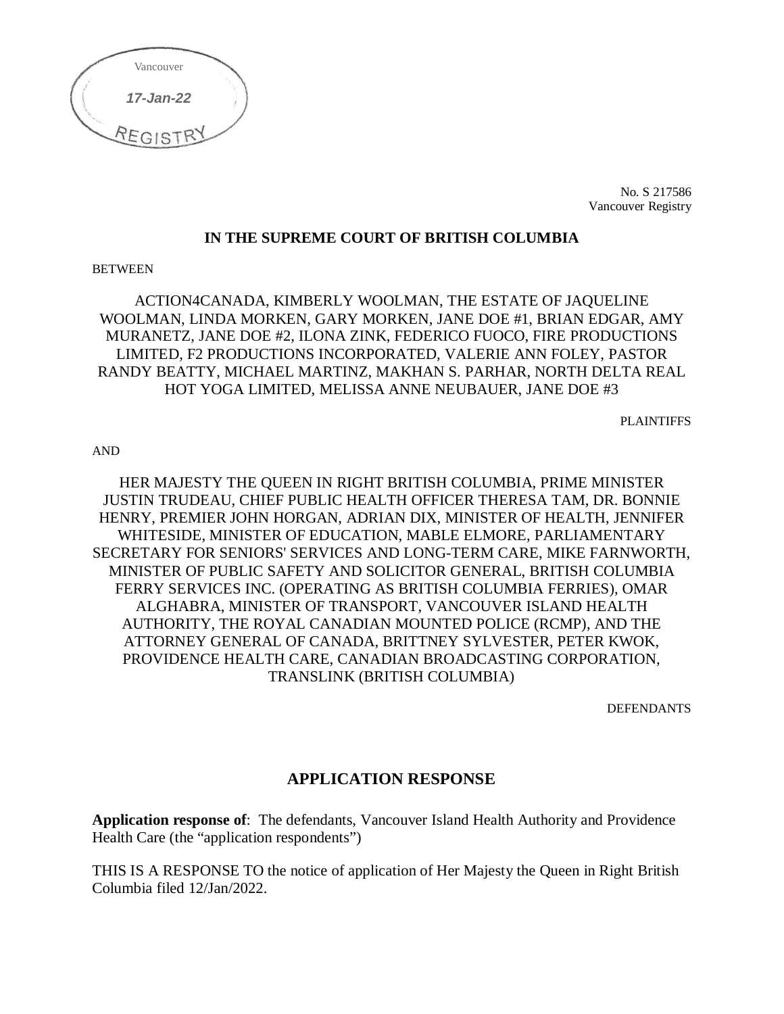

No. S 217586 Vancouver Registry

#### **IN THE SUPREME COURT OF BRITISH COLUMBIA**

#### BETWEEN

ACTION4CANADA, KIMBERLY WOOLMAN, THE ESTATE OF JAQUELINE WOOLMAN, LINDA MORKEN, GARY MORKEN, JANE DOE #1, BRIAN EDGAR, AMY MURANETZ, JANE DOE #2, ILONA ZINK, FEDERICO FUOCO, FIRE PRODUCTIONS LIMITED, F2 PRODUCTIONS INCORPORATED, VALERIE ANN FOLEY, PASTOR RANDY BEATTY, MICHAEL MARTINZ, MAKHAN S. PARHAR, NORTH DELTA REAL HOT YOGA LIMITED, MELISSA ANNE NEUBAUER, JANE DOE #3

PLAINTIFFS

AND

HER MAJESTY THE QUEEN IN RIGHT BRITISH COLUMBIA, PRIME MINISTER JUSTIN TRUDEAU, CHIEF PUBLIC HEALTH OFFICER THERESA TAM, DR. BONNIE HENRY, PREMIER JOHN HORGAN, ADRIAN DIX, MINISTER OF HEALTH, JENNIFER WHITESIDE, MINISTER OF EDUCATION, MABLE ELMORE, PARLIAMENTARY SECRETARY FOR SENIORS' SERVICES AND LONG-TERM CARE, MIKE FARNWORTH, MINISTER OF PUBLIC SAFETY AND SOLICITOR GENERAL, BRITISH COLUMBIA FERRY SERVICES INC. (OPERATING AS BRITISH COLUMBIA FERRIES), OMAR ALGHABRA, MINISTER OF TRANSPORT, VANCOUVER ISLAND HEALTH AUTHORITY, THE ROYAL CANADIAN MOUNTED POLICE (RCMP), AND THE ATTORNEY GENERAL OF CANADA, BRITTNEY SYLVESTER, PETER KWOK, PROVIDENCE HEALTH CARE, CANADIAN BROADCASTING CORPORATION, TRANSLINK (BRITISH COLUMBIA)

**DEFENDANTS** 

# **APPLICATION RESPONSE**

**Application response of**: The defendants, Vancouver Island Health Authority and Providence Health Care (the "application respondents")

THIS IS A RESPONSE TO the notice of application of Her Majesty the Queen in Right British Columbia filed 12/Jan/2022.